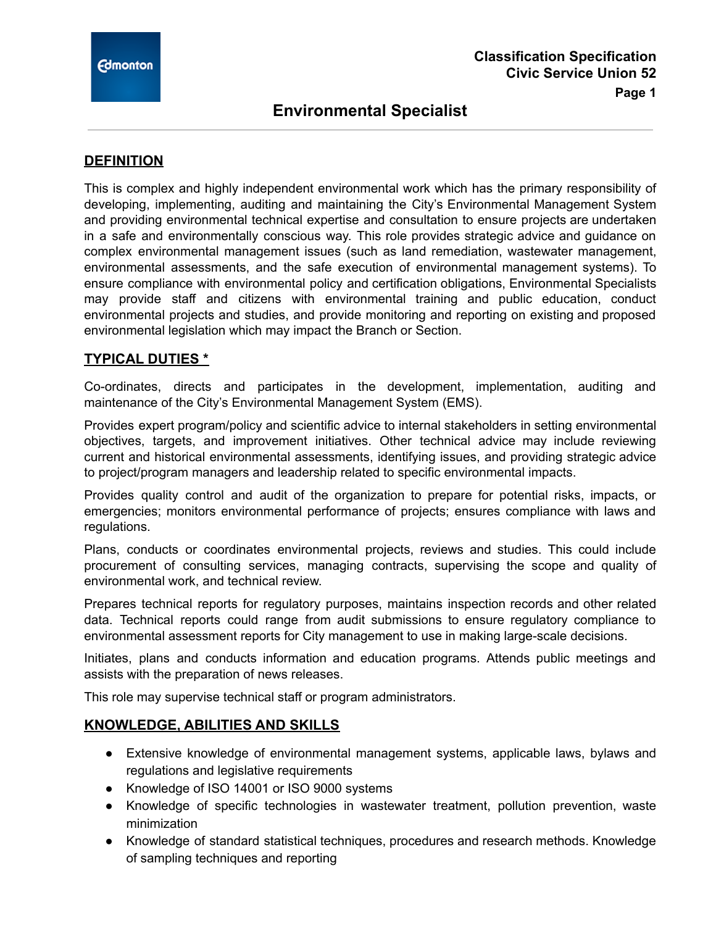## **Environmental Specialist**

#### **DEFINITION**

This is complex and highly independent environmental work which has the primary responsibility of developing, implementing, auditing and maintaining the City's Environmental Management System and providing environmental technical expertise and consultation to ensure projects are undertaken in a safe and environmentally conscious way. This role provides strategic advice and guidance on complex environmental management issues (such as land remediation, wastewater management, environmental assessments, and the safe execution of environmental management systems). To ensure compliance with environmental policy and certification obligations, Environmental Specialists may provide staff and citizens with environmental training and public education, conduct environmental projects and studies, and provide monitoring and reporting on existing and proposed environmental legislation which may impact the Branch or Section.

#### **TYPICAL DUTIES \***

Co-ordinates, directs and participates in the development, implementation, auditing and maintenance of the City's Environmental Management System (EMS).

Provides expert program/policy and scientific advice to internal stakeholders in setting environmental objectives, targets, and improvement initiatives. Other technical advice may include reviewing current and historical environmental assessments, identifying issues, and providing strategic advice to project/program managers and leadership related to specific environmental impacts.

Provides quality control and audit of the organization to prepare for potential risks, impacts, or emergencies; monitors environmental performance of projects; ensures compliance with laws and regulations.

Plans, conducts or coordinates environmental projects, reviews and studies. This could include procurement of consulting services, managing contracts, supervising the scope and quality of environmental work, and technical review.

Prepares technical reports for regulatory purposes, maintains inspection records and other related data. Technical reports could range from audit submissions to ensure regulatory compliance to environmental assessment reports for City management to use in making large-scale decisions.

Initiates, plans and conducts information and education programs. Attends public meetings and assists with the preparation of news releases.

This role may supervise technical staff or program administrators.

#### **KNOWLEDGE, ABILITIES AND SKILLS**

- Extensive knowledge of environmental management systems, applicable laws, bylaws and regulations and legislative requirements
- Knowledge of ISO 14001 or ISO 9000 systems
- Knowledge of specific technologies in wastewater treatment, pollution prevention, waste minimization
- Knowledge of standard statistical techniques, procedures and research methods. Knowledge of sampling techniques and reporting